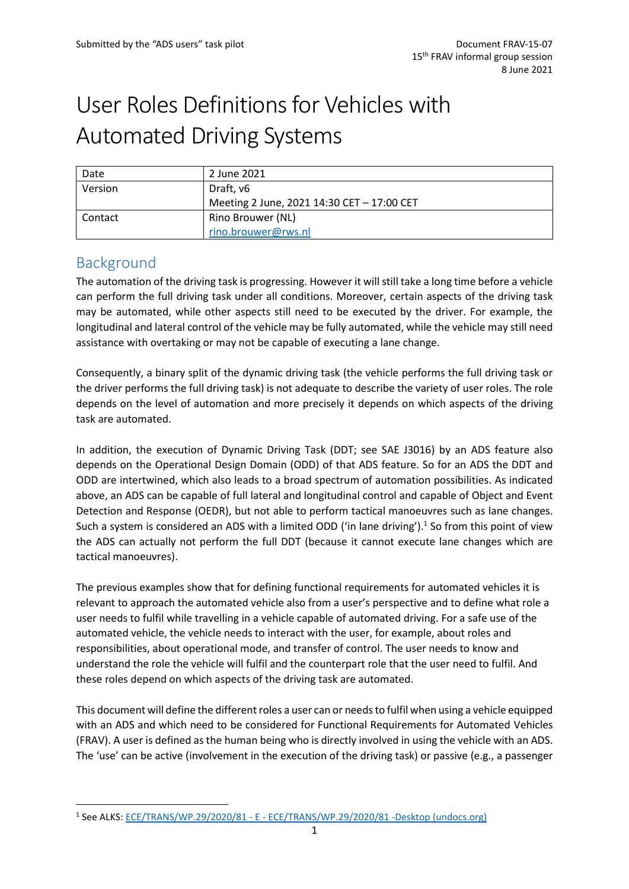# User Roles Definitions for Vehicles with Automated Driving Systems

| Date    | 2 June 2021                                |  |
|---------|--------------------------------------------|--|
| Version | Draft, v6                                  |  |
|         | Meeting 2 June, 2021 14:30 CET - 17:00 CET |  |
| Contact | Rino Brouwer (NL)                          |  |
|         | rino.brouwer@rws.nl                        |  |

## Background

The automation of the driving task is progressing. However it will still take a long time before a vehicle can perform the full driving task under all conditions. Moreover, certain aspects of the driving task may be automated, while other aspects still need to be executed by the driver. For example, the longitudinal and lateral control of the vehicle may be fully automated, while the vehicle may still need assistance with overtaking or may not be capable of executing a lane change.

Consequently, a binary split of the dynamic driving task (the vehicle performs the full driving task or the driver performs the full driving task) is not adequate to describe the variety of user roles. The role depends on the level of automation and more precisely it depends on which aspects of the driving task are automated.

In addition, the execution of Dynamic Driving Task (DDT; see SAE J3016) by an ADS feature also depends on the Operational Design Domain (ODD) of that ADS feature. So for an ADS the DDT and ODD are intertwined, which also leads to a broad spectrum of automation possibilities. As indicated above, an ADS can be capable of full lateral and longitudinal control and capable of Object and Event Detection and Response (OEDR), but not able to perform tactical manoeuvres such as lane changes. Such a system is considered an ADS with a limited ODD ('in lane driving').<sup>1</sup> So from this point of view the ADS can actually not perform the full DDT (because it cannot execute lane changes which are tactical manoeuvres).

The previous examples show that for defining functional requirements for automated vehicles it is relevant to approach the automated vehicle also from a user's perspective and to define what role a user needs to fulfil while travelling in a vehicle capable of automated driving. For a safe use of the automated vehicle, the vehicle needs to interact with the user, for example, about roles and responsibilities, about operational mode, and transfer of control. The user needs to know and understand the role the vehicle will fulfil and the counterpart role that the user need to fulfil. And these roles depend on which aspects of the driving task are automated.

This document will define the different roles a user can or needsto fulfil when using a vehicle equipped with an ADS and which need to be considered for Functional Requirements for Automated Vehicles (FRAV). A user is defined as the human being who is directly involved in using the vehicle with an ADS. The 'use' can be active (involvement in the execution of the driving task) or passive (e.g., a passenger

<sup>1</sup> See ALKS: ECE/TRANS/WP.29/2020/81 - E - [ECE/TRANS/WP.29/2020/81 -Desktop \(undocs.org\)](https://undocs.org/ECE/TRANS/WP.29/2020/81)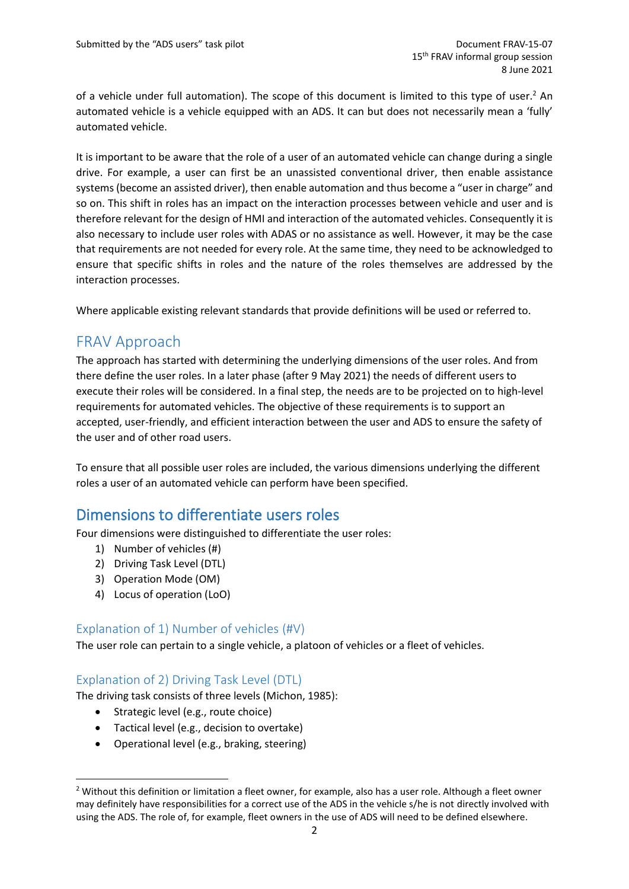of a vehicle under full automation). The scope of this document is limited to this type of user.<sup>2</sup> An automated vehicle is a vehicle equipped with an ADS. It can but does not necessarily mean a 'fully' automated vehicle.

It is important to be aware that the role of a user of an automated vehicle can change during a single drive. For example, a user can first be an unassisted conventional driver, then enable assistance systems (become an assisted driver), then enable automation and thus become a "user in charge" and so on. This shift in roles has an impact on the interaction processes between vehicle and user and is therefore relevant for the design of HMI and interaction of the automated vehicles. Consequently it is also necessary to include user roles with ADAS or no assistance as well. However, it may be the case that requirements are not needed for every role. At the same time, they need to be acknowledged to ensure that specific shifts in roles and the nature of the roles themselves are addressed by the interaction processes.

Where applicable existing relevant standards that provide definitions will be used or referred to.

## FRAV Approach

The approach has started with determining the underlying dimensions of the user roles. And from there define the user roles. In a later phase (after 9 May 2021) the needs of different users to execute their roles will be considered. In a final step, the needs are to be projected on to high-level requirements for automated vehicles. The objective of these requirements is to support an accepted, user-friendly, and efficient interaction between the user and ADS to ensure the safety of the user and of other road users.

To ensure that all possible user roles are included, the various dimensions underlying the different roles a user of an automated vehicle can perform have been specified.

## Dimensions to differentiate users roles

Four dimensions were distinguished to differentiate the user roles:

- 1) Number of vehicles (#)
- 2) Driving Task Level (DTL)
- 3) Operation Mode (OM)
- 4) Locus of operation (LoO)

#### Explanation of 1) Number of vehicles (#V)

The user role can pertain to a single vehicle, a platoon of vehicles or a fleet of vehicles.

#### Explanation of 2) Driving Task Level (DTL)

The driving task consists of three levels (Michon, 1985):

- Strategic level (e.g., route choice)
- Tactical level (e.g., decision to overtake)
- Operational level (e.g., braking, steering)

<sup>&</sup>lt;sup>2</sup> Without this definition or limitation a fleet owner, for example, also has a user role. Although a fleet owner may definitely have responsibilities for a correct use of the ADS in the vehicle s/he is not directly involved with using the ADS. The role of, for example, fleet owners in the use of ADS will need to be defined elsewhere.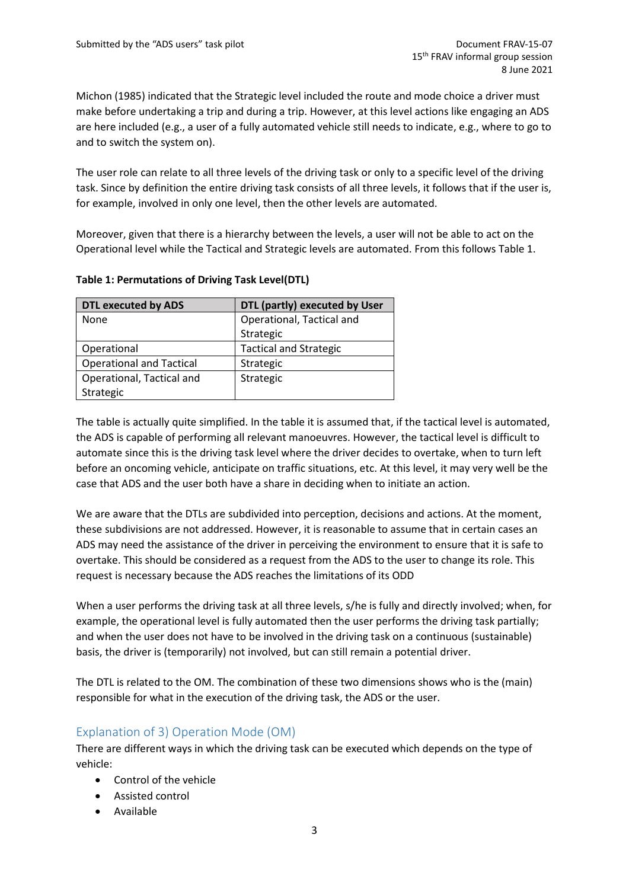Michon (1985) indicated that the Strategic level included the route and mode choice a driver must make before undertaking a trip and during a trip. However, at this level actions like engaging an ADS are here included (e.g., a user of a fully automated vehicle still needs to indicate, e.g., where to go to and to switch the system on).

The user role can relate to all three levels of the driving task or only to a specific level of the driving task. Since by definition the entire driving task consists of all three levels, it follows that if the user is, for example, involved in only one level, then the other levels are automated.

Moreover, given that there is a hierarchy between the levels, a user will not be able to act on the Operational level while the Tactical and Strategic levels are automated. From this follows [Table 1.](#page-2-0)

| <b>DTL executed by ADS</b>      | DTL (partly) executed by User |  |
|---------------------------------|-------------------------------|--|
| None                            | Operational, Tactical and     |  |
|                                 | Strategic                     |  |
| Operational                     | <b>Tactical and Strategic</b> |  |
| <b>Operational and Tactical</b> | Strategic                     |  |
| Operational, Tactical and       | Strategic                     |  |
| Strategic                       |                               |  |

<span id="page-2-0"></span>**Table 1: Permutations of Driving Task Level(DTL)**

The table is actually quite simplified. In the table it is assumed that, if the tactical level is automated, the ADS is capable of performing all relevant manoeuvres. However, the tactical level is difficult to automate since this is the driving task level where the driver decides to overtake, when to turn left before an oncoming vehicle, anticipate on traffic situations, etc. At this level, it may very well be the case that ADS and the user both have a share in deciding when to initiate an action.

We are aware that the DTLs are subdivided into perception, decisions and actions. At the moment, these subdivisions are not addressed. However, it is reasonable to assume that in certain cases an ADS may need the assistance of the driver in perceiving the environment to ensure that it is safe to overtake. This should be considered as a request from the ADS to the user to change its role. This request is necessary because the ADS reaches the limitations of its ODD

When a user performs the driving task at all three levels, s/he is fully and directly involved; when, for example, the operational level is fully automated then the user performs the driving task partially; and when the user does not have to be involved in the driving task on a continuous (sustainable) basis, the driver is (temporarily) not involved, but can still remain a potential driver.

The DTL is related to the OM. The combination of these two dimensions shows who is the (main) responsible for what in the execution of the driving task, the ADS or the user.

#### Explanation of 3) Operation Mode (OM)

There are different ways in which the driving task can be executed which depends on the type of vehicle:

- Control of the vehicle
- Assisted control
- Available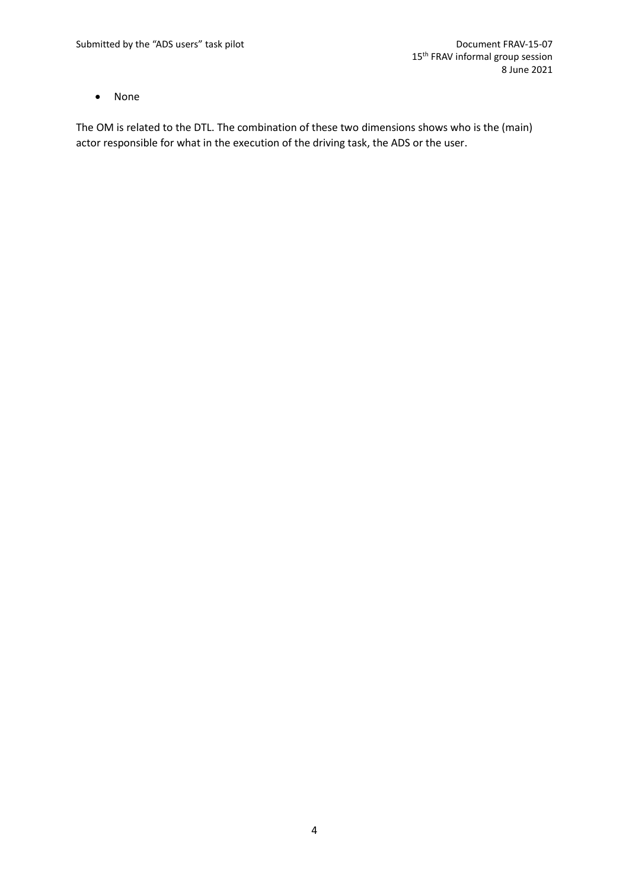• None

The OM is related to the DTL. The combination of these two dimensions shows who is the (main) actor responsible for what in the execution of the driving task, the ADS or the user.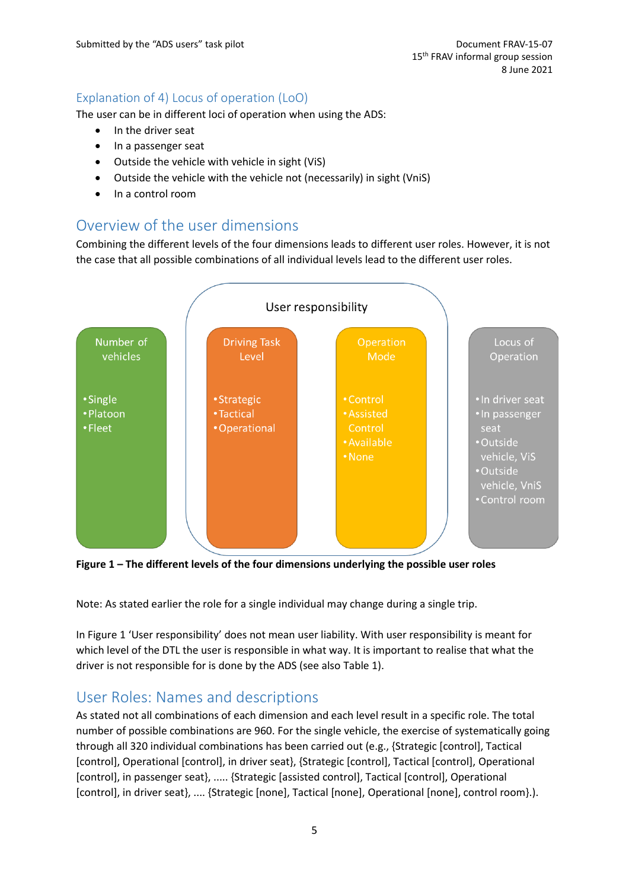#### Explanation of 4) Locus of operation (LoO)

The user can be in different loci of operation when using the ADS:

- In the driver seat
- In a passenger seat
- Outside the vehicle with vehicle in sight (ViS)
- Outside the vehicle with the vehicle not (necessarily) in sight (VniS)
- In a control room

### Overview of the user dimensions

Combining the different levels of the four dimensions leads to different user roles. However, it is not the case that all possible combinations of all individual levels lead to the different user roles.



<span id="page-4-0"></span>**Figure 1 – The different levels of the four dimensions underlying the possible user roles**

Note: As stated earlier the role for a single individual may change during a single trip.

In [Figure 1](#page-4-0) 'User responsibility' does not mean user liability. With user responsibility is meant for which level of the DTL the user is responsible in what way. It is important to realise that what the driver is not responsible for is done by the ADS (see also [Table 1\)](#page-2-0).

## User Roles: Names and descriptions

As stated not all combinations of each dimension and each level result in a specific role. The total number of possible combinations are 960. For the single vehicle, the exercise of systematically going through all 320 individual combinations has been carried out (e.g., {Strategic [control], Tactical [control], Operational [control], in driver seat}, {Strategic [control], Tactical [control], Operational [control], in passenger seat}, ..... {Strategic [assisted control], Tactical [control], Operational [control], in driver seat}, .... {Strategic [none], Tactical [none], Operational [none], control room}.).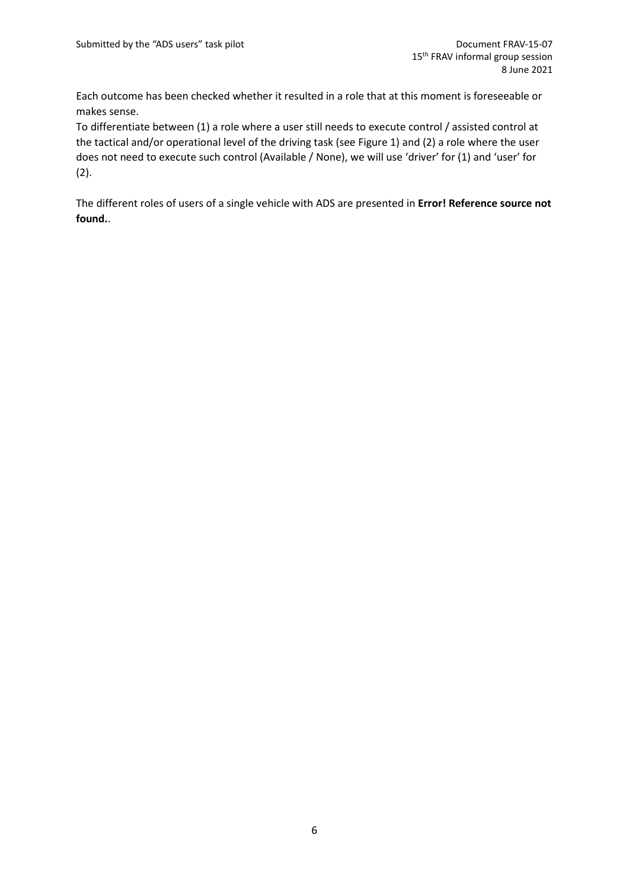Each outcome has been checked whether it resulted in a role that at this moment is foreseeable or makes sense.

To differentiate between (1) a role where a user still needs to execute control / assisted control at the tactical and/or operational level of the driving task (see [Figure 1\)](#page-4-0) and (2) a role where the user does not need to execute such control (Available / None), we will use 'driver' for (1) and 'user' for (2).

The different roles of users of a single vehicle with ADS are presented in **Error! Reference source not found.**.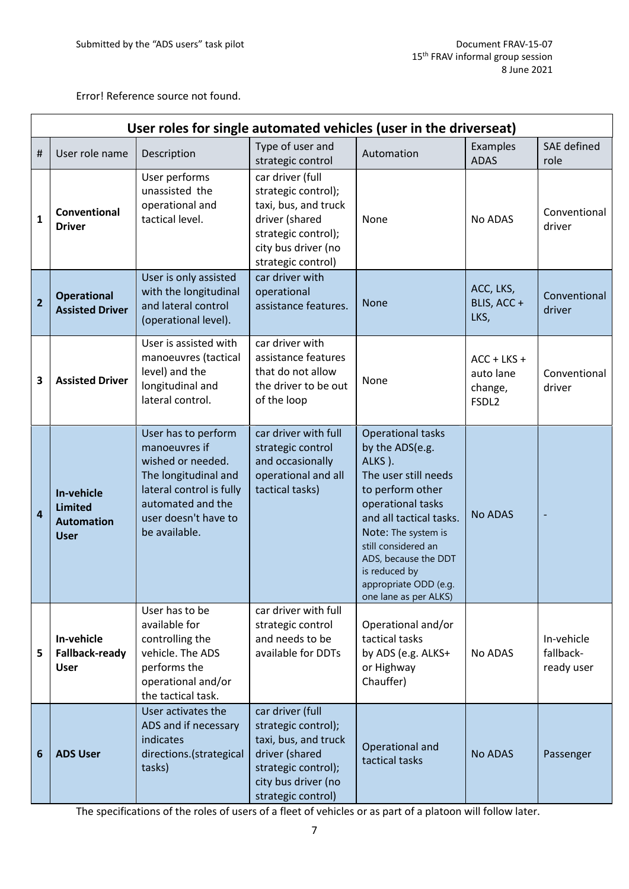Error! Reference source not found.

| User roles for single automated vehicles (user in the driverseat) |                                                                  |                                                                                                                                                                             |                                                                                                                                                       |                                                                                                                                                                                                                                                                                            |                                                            |                                       |  |
|-------------------------------------------------------------------|------------------------------------------------------------------|-----------------------------------------------------------------------------------------------------------------------------------------------------------------------------|-------------------------------------------------------------------------------------------------------------------------------------------------------|--------------------------------------------------------------------------------------------------------------------------------------------------------------------------------------------------------------------------------------------------------------------------------------------|------------------------------------------------------------|---------------------------------------|--|
| #                                                                 | User role name                                                   | Description                                                                                                                                                                 | Type of user and<br>strategic control                                                                                                                 | Automation                                                                                                                                                                                                                                                                                 | Examples<br><b>ADAS</b>                                    | <b>SAE</b> defined<br>role            |  |
| $\mathbf{1}$                                                      | Conventional<br><b>Driver</b>                                    | User performs<br>unassisted the<br>operational and<br>tactical level.                                                                                                       | car driver (full<br>strategic control);<br>taxi, bus, and truck<br>driver (shared<br>strategic control);<br>city bus driver (no<br>strategic control) | None                                                                                                                                                                                                                                                                                       | No ADAS                                                    | Conventional<br>driver                |  |
| $\overline{2}$                                                    | <b>Operational</b><br><b>Assisted Driver</b>                     | User is only assisted<br>with the longitudinal<br>and lateral control<br>(operational level).                                                                               | car driver with<br>operational<br>assistance features.                                                                                                | <b>None</b>                                                                                                                                                                                                                                                                                | ACC, LKS,<br>BLIS, ACC+<br>LKS,                            | Conventional<br>driver                |  |
| 3                                                                 | <b>Assisted Driver</b>                                           | User is assisted with<br>manoeuvres (tactical<br>level) and the<br>longitudinal and<br>lateral control.                                                                     | car driver with<br>assistance features<br>that do not allow<br>the driver to be out<br>of the loop                                                    | None                                                                                                                                                                                                                                                                                       | $ACC + LKS +$<br>auto lane<br>change,<br>FSDL <sub>2</sub> | Conventional<br>driver                |  |
| $\overline{a}$                                                    | In-vehicle<br><b>Limited</b><br><b>Automation</b><br><b>User</b> | User has to perform<br>manoeuvres if<br>wished or needed.<br>The longitudinal and<br>lateral control is fully<br>automated and the<br>user doesn't have to<br>be available. | car driver with full<br>strategic control<br>and occasionally<br>operational and all<br>tactical tasks)                                               | <b>Operational tasks</b><br>by the ADS(e.g.<br>ALKS).<br>The user still needs<br>to perform other<br>operational tasks<br>and all tactical tasks.<br>Note: The system is<br>still considered an<br>ADS, because the DDT<br>is reduced by<br>appropriate ODD (e.g.<br>one lane as per ALKS) | <b>No ADAS</b>                                             |                                       |  |
| 5                                                                 | In-vehicle<br><b>Fallback-ready</b><br><b>User</b>               | User has to be<br>available for<br>controlling the<br>vehicle. The ADS<br>performs the<br>operational and/or<br>the tactical task.                                          | car driver with full<br>strategic control<br>and needs to be<br>available for DDTs                                                                    | Operational and/or<br>tactical tasks<br>by ADS (e.g. ALKS+<br>or Highway<br>Chauffer)                                                                                                                                                                                                      | No ADAS                                                    | In-vehicle<br>fallback-<br>ready user |  |
| 6                                                                 | <b>ADS User</b>                                                  | User activates the<br>ADS and if necessary<br>indicates<br>directions.(strategical<br>tasks)                                                                                | car driver (full<br>strategic control);<br>taxi, bus, and truck<br>driver (shared<br>strategic control);<br>city bus driver (no<br>strategic control) | Operational and<br>tactical tasks                                                                                                                                                                                                                                                          | No ADAS                                                    | Passenger                             |  |

The specifications of the roles of users of a fleet of vehicles or as part of a platoon will follow later.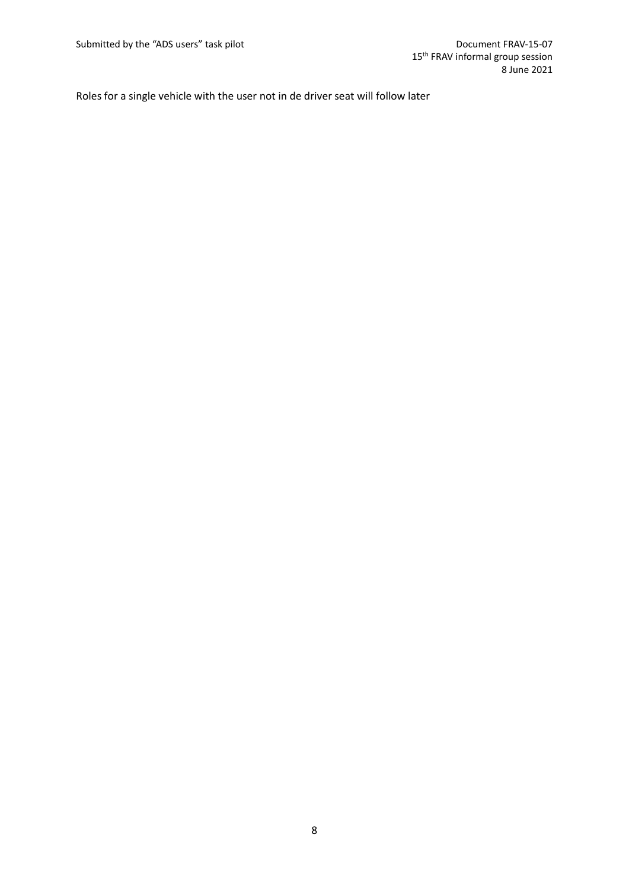Roles for a single vehicle with the user not in de driver seat will follow later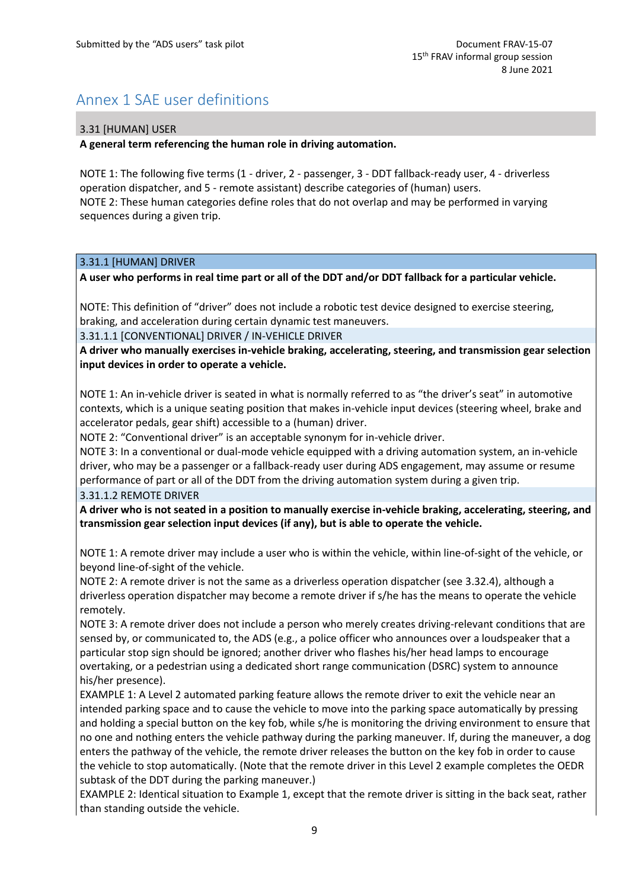# Annex 1 SAE user definitions

#### 3.31 [HUMAN] USER

**A general term referencing the human role in driving automation.**

NOTE 1: The following five terms (1 - driver, 2 - passenger, 3 - DDT fallback-ready user, 4 - driverless operation dispatcher, and 5 - remote assistant) describe categories of (human) users. NOTE 2: These human categories define roles that do not overlap and may be performed in varying sequences during a given trip.

#### 3.31.1 [HUMAN] DRIVER

**A user who performs in real time part or all of the DDT and/or DDT fallback for a particular vehicle.**

NOTE: This definition of "driver" does not include a robotic test device designed to exercise steering, braking, and acceleration during certain dynamic test maneuvers.

3.31.1.1 [CONVENTIONAL] DRIVER / IN-VEHICLE DRIVER

**A driver who manually exercises in-vehicle braking, accelerating, steering, and transmission gear selection input devices in order to operate a vehicle.**

NOTE 1: An in-vehicle driver is seated in what is normally referred to as "the driver's seat" in automotive contexts, which is a unique seating position that makes in-vehicle input devices (steering wheel, brake and accelerator pedals, gear shift) accessible to a (human) driver.

NOTE 2: "Conventional driver" is an acceptable synonym for in-vehicle driver.

NOTE 3: In a conventional or dual-mode vehicle equipped with a driving automation system, an in-vehicle driver, who may be a passenger or a fallback-ready user during ADS engagement, may assume or resume performance of part or all of the DDT from the driving automation system during a given trip. 3.31.1.2 REMOTE DRIVER

**A driver who is not seated in a position to manually exercise in-vehicle braking, accelerating, steering, and transmission gear selection input devices (if any), but is able to operate the vehicle.**

NOTE 1: A remote driver may include a user who is within the vehicle, within line-of-sight of the vehicle, or beyond line-of-sight of the vehicle.

NOTE 2: A remote driver is not the same as a driverless operation dispatcher (see 3.32.4), although a driverless operation dispatcher may become a remote driver if s/he has the means to operate the vehicle remotely.

NOTE 3: A remote driver does not include a person who merely creates driving-relevant conditions that are sensed by, or communicated to, the ADS (e.g., a police officer who announces over a loudspeaker that a particular stop sign should be ignored; another driver who flashes his/her head lamps to encourage overtaking, or a pedestrian using a dedicated short range communication (DSRC) system to announce his/her presence).

EXAMPLE 1: A Level 2 automated parking feature allows the remote driver to exit the vehicle near an intended parking space and to cause the vehicle to move into the parking space automatically by pressing and holding a special button on the key fob, while s/he is monitoring the driving environment to ensure that no one and nothing enters the vehicle pathway during the parking maneuver. If, during the maneuver, a dog enters the pathway of the vehicle, the remote driver releases the button on the key fob in order to cause the vehicle to stop automatically. (Note that the remote driver in this Level 2 example completes the OEDR subtask of the DDT during the parking maneuver.)

EXAMPLE 2: Identical situation to Example 1, except that the remote driver is sitting in the back seat, rather than standing outside the vehicle.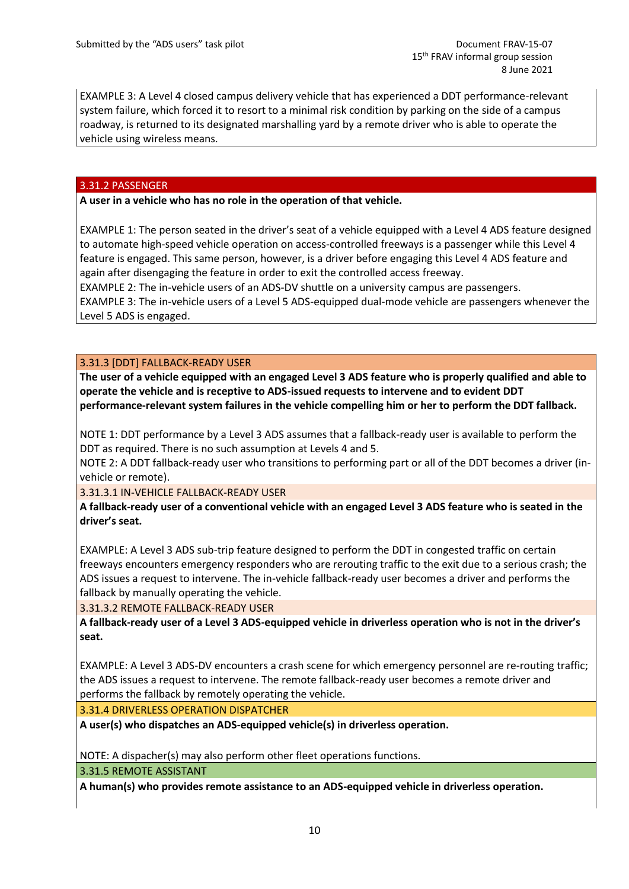EXAMPLE 3: A Level 4 closed campus delivery vehicle that has experienced a DDT performance-relevant system failure, which forced it to resort to a minimal risk condition by parking on the side of a campus roadway, is returned to its designated marshalling yard by a remote driver who is able to operate the vehicle using wireless means.

#### 3.31.2 PASSENGER

**A user in a vehicle who has no role in the operation of that vehicle.**

EXAMPLE 1: The person seated in the driver's seat of a vehicle equipped with a Level 4 ADS feature designed to automate high-speed vehicle operation on access-controlled freeways is a passenger while this Level 4 feature is engaged. This same person, however, is a driver before engaging this Level 4 ADS feature and again after disengaging the feature in order to exit the controlled access freeway.

EXAMPLE 2: The in-vehicle users of an ADS-DV shuttle on a university campus are passengers. EXAMPLE 3: The in-vehicle users of a Level 5 ADS-equipped dual-mode vehicle are passengers whenever the Level 5 ADS is engaged.

#### 3.31.3 [DDT] FALLBACK-READY USER

**The user of a vehicle equipped with an engaged Level 3 ADS feature who is properly qualified and able to operate the vehicle and is receptive to ADS-issued requests to intervene and to evident DDT performance-relevant system failures in the vehicle compelling him or her to perform the DDT fallback.**

NOTE 1: DDT performance by a Level 3 ADS assumes that a fallback-ready user is available to perform the DDT as required. There is no such assumption at Levels 4 and 5.

NOTE 2: A DDT fallback-ready user who transitions to performing part or all of the DDT becomes a driver (invehicle or remote).

3.31.3.1 IN-VEHICLE FALLBACK-READY USER

**A fallback-ready user of a conventional vehicle with an engaged Level 3 ADS feature who is seated in the driver's seat.**

EXAMPLE: A Level 3 ADS sub-trip feature designed to perform the DDT in congested traffic on certain freeways encounters emergency responders who are rerouting traffic to the exit due to a serious crash; the ADS issues a request to intervene. The in-vehicle fallback-ready user becomes a driver and performs the fallback by manually operating the vehicle.

3.31.3.2 REMOTE FALLBACK-READY USER

**A fallback-ready user of a Level 3 ADS-equipped vehicle in driverless operation who is not in the driver's seat.**

EXAMPLE: A Level 3 ADS-DV encounters a crash scene for which emergency personnel are re-routing traffic; the ADS issues a request to intervene. The remote fallback-ready user becomes a remote driver and performs the fallback by remotely operating the vehicle.

3.31.4 DRIVERLESS OPERATION DISPATCHER

**A user(s) who dispatches an ADS-equipped vehicle(s) in driverless operation.**

NOTE: A dispacher(s) may also perform other fleet operations functions.

3.31.5 REMOTE ASSISTANT

**A human(s) who provides remote assistance to an ADS-equipped vehicle in driverless operation.**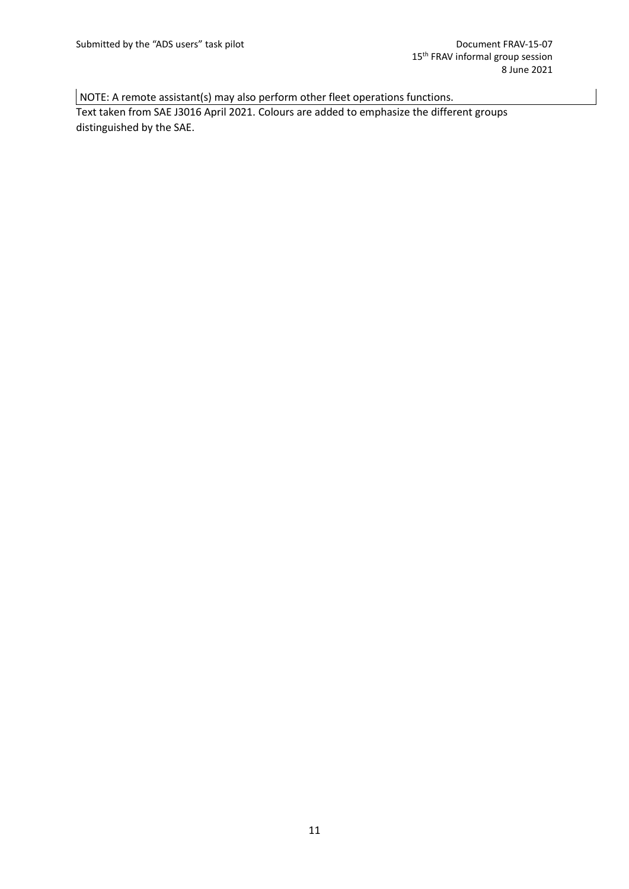NOTE: A remote assistant(s) may also perform other fleet operations functions.

Text taken from SAE J3016 April 2021. Colours are added to emphasize the different groups distinguished by the SAE.